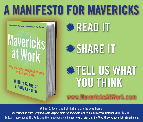## **A MANIFESTO FOR MAVERICKS**

"I didn't read this book. I devoured it."-Tom PETERS

# Mavericks<br>at Work

Why the Most Original Minds<br>in Business Win

William C. Taylor<br>& Polly LaBarre





### **TELL US WHAT YOU THINK**

**www.MavericksAtWork.com**

**William C. Taylor and Polly LaBarre are the coauthors of** 

*Mavericks at Work: Why the Most Original Minds in Business Win* **(William Morrow, October 2006, \$26.95). To learn more about Bill, Polly, and their new book, visit Mavericks at Work on the Web @ www.mavericksatwork.com.**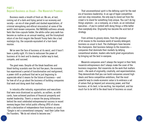### **PART I Beyond Business as Usual—The Maverick Promise**

 Business needs a breath of fresh air. We are, at last, coming out of a dark and trying period in our economy and society—an era of slow growth and dashed expectations, of criminal wrongdoing and ethical misconduct at some of the world's best-known companies. But NASDAQ nuttiness already feels like time-capsule fodder, the white-collar perp walk has become as routine as an annual meeting, and the triumphant return of me-first moguls like Donald Trump feels like a bad nostalgia trip, the corporate equivalent of a hair-band reunion.

 We've seen the face of business at its worst, and it hasn't been a pretty sight. It's time to rediscover the power of business at its best and to develop a better way to lead, compete, and succeed.

 The good news: Despite all the bleak headlines and blood-boiling scandals over the last five years, the economy has experienced a period of transformation and realignment, a power shift so profound that we're just beginning to appreciate what it means for the future of business—and for how all of us go about the business of building companies that work and doing work that matters.

 In industry after industry, organizations and executives that were once dismissed as upstarts, as outliers, as wildcards, have achieved positions of financial prosperity and market leadership. There's a reason the young billionaires behind the most celebrated entrepreneurial success in recent memory began their initial public offering (IPO) of shares with a declaration of independence from business as usual. "Google is not a conventional company," read their Letter from the Founders. "We do not intend to become one."

 That unconventional spirit is the defining spirit for the next era of business leadership. In an age of hyper-competition and non-stop innovation, the only way to stand out from the crowd is to stand for something truly unique. You can't do big things anymore—as a company, as a team, as an individual executive—if you're content with doing things a little better than everybody else. Originality has become the acid test of strategy.

 From airlines to grocery stores, from the glamour of hit movies to the mundane world of laundry detergent, business as usual is bust. The challengers have become the champions. And business belongs to the mavericks companies that dominate their markets by defying conventional wisdom, leaders who build great organizations by bringing out the best in everyone.

 Maverick companies aren't always the largest in their field; maverick entrepreneurs don't always make the cover of the business magazines. But mavericks do the work that matters most—the work of originality, creativity, and experimentation. They demonstrate that you can build companies around high ideals and fierce competitive ambitions, that the most powerful way to create economic value is to embrace a set of values that go beyond just amassing power, and that business, at its best, is too exciting, too important, and too much fun to be left to the dead hand of business as usual.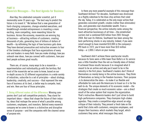### **PART II Maverick Messages—The Next Agenda for Business**

 Alan Kay, the celebrated computer scientist, put it memorably some 35 years ago: "The best way to predict the future is to invent it." We believe that a new generation of hard-charging companies, change-oriented executives, and breakthrough-minded entrepreneurs is inventing a more exciting, more compelling, more rewarding future for business. Across the economy, mavericks are winning big at business—attracting millions of customers, creating thousands of jobs, generating tens of billions of dollars of wealth—by rethinking the logic of how business gets done. They have devised provocative and instructive answers to four of the timeless challenges that face organizations of every size and leaders in every field: how you make strategy, how you unleash new ideas, how you connect with customers, how your best people achieve great results.

 There are, of course, many ways to be a maverick experimentation and individuality go with the territory. But most of the mavericks we've come to know, based on our in-depth access to 32 different organizations in a wide variety of industries, subscribe to a set of principles—about strategy, leadership, creativity, and success—that represent the new face of business at its best, a better way to compete, lead, and win. Here are four of those principles.

**1. Being different makes all the difference.** Winning companies don't just sell competitive products. They stand for important ideas—ideas that shape the future of their industry, ideas that reshape the sense of what's possible among customers, employees, and investors. Behind every maverick company we've come to know is a distinctive and disruptive sense of purpose—and the companies with the clearest sense of purpose win.

 Is there any more powerful example of this message than Southwest Airlines? For decades, Southwest was dismissed as a flighty sideshow to the blue-chip airlines that ruled the sky. Today, it is celebrated as the only major airline that generates consistent growth, creates (rather than eliminates) jobs, and generates real shareholder wealth. From a financial perspective, the airline industry ranks among the least-attractive businesses of all time—the established carriers lost a combined \$30 billion from 2001 through 2004. But over its lifetime, Southwest has been among the best-performing stocks in any industry. Indeed, if you were smart enough to have invested \$10,000 in the company's IPO back in 1972, you'd have more than \$10 million today—a 1,000:1 return on your money.

 Southwest didn't achieve these spectacular results because its fares were a little lower than Delta's or its service was a little friendlier than the not-so-friendly skies of United. It achieved those results because it re-imagined what it meant to be an airline and why you'd want to be in the industry in the first place. Southwest's leaders don't think of themselves as merely being in the airline business. They think of themselves as being in the freedom business. Their purpose is to democratize the skies—to make it as flexible and affordable for rank-and-file Americans to travel as it is for the well-to-do. The unique elements of its economic model—the strategies that create so much economic value—are a direct result of the value system that inspires the organization. That's instructive: Maverick leaders don't just strive to build high-performance companies. They champion high-stakes agendas. They create a competitive edge around an edgy critique of their industry. They present a fresh take on the world that clicks with customers, energizes employees, and shapes their business: which markets they target, which customers they serve, what messages they send.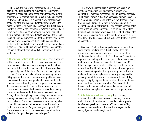ING Direct, the fast-growing Internet bank, is a classic example of a high-performing maverick whose disruptive presence is based not on the speed of its technology but the originality of its point of view. ING Direct is to banking what Southwest is to airlines—a maverick player that thrives by challenging the status quo and offering alternatives to the worst practices of its rivals. The leaders of ING Direct declare that the purpose of their company is to "lead Americans back to savings"—to serve as an antidote to a toxic financial culture that encourages individuals to save too little, spend too much, and make investments that are far too risky. In less than six years, the company's deeply held ideas and brash attitude in the marketplace has attracted nearly four millions customers—and \$40 billion worth of deposits. Ideas matter: The only sustainable form of market Leadership is thought leadership.

**2. Sharing your values beats selling value.** There is a tension at the heart of the relationship between most companies and their customers. Companies are offering better deals than ever, literally the best bargains in history. It has never been cheaper to fly from Dallas to Los Angeles, to make a phone call from Boston to Brussels, to buy a laptop computer or a DVD player. Yet the more companies raise quality and lower prices—and the more they spend on flashy ads and frantic promotions—the less they seem to impress their customers. All the market research arrives at the same conclusion: There is a customer-satisfaction crisis across the economy. There's a simple reason for this apparent contradiction: When just about everything keeps getting cheaper and better, offering customers something that's a little cheaper and better today won't win them over—because something else is bound to be cheaper and better tomorrow. It was Clare Booth Luce who wrote, "No good deed goes unpunished." The business world has its own version of that ubiquitous aphorism: "No good deal goes unchallenged."

 That's why the most precious asset in business is an emotional connection with customers, a psychological contract that redefines expectations and reinvents a category. Think about Starbucks. Seattle's espresso empire is one of the true entrepreneurial miracles of the last two decades—more than an iconic brand, more than a growth company, it's a destination and an institution that has become a recognizable piece of the American landscape—a so-called "third place" between home and work where people meet, think, relax, listen to music, check email (and, by the way, happily spend \$3.50 for a latte). Starbucks doesn't just sell coffee. It offers a sense of connection.

 Commerce Bank, a standout performer in the hum-drum world of retail banking, looks directly to the Starbucks phenomenon as a source of inspiration and differentiation. The bank embraces what it calls "retailtainment" to make the experience of dealing with its employees colorful, convenient, and flat-out fun. Commerce has attracted more than \$35 billion in deposits not by offering the highest interest rates in New York City, Philadelphia, or the other ultra-competitive cities in which it operates, but by providing the most inviting and entertaining atmosphere—by creating a company that people go out of their way to do business with, even if they can get a slightly higher interest rate from the boring bankers down the street. Experiences matter: People want to do business with companies that share their values and put those values on display in a consistent and engaging way.

**3. Nobody is as smart as everybody.** If you believe, as we do, that behind every maverick company is a set of distinctive and disruptive ideas, then the obvious question is: Where do great ideas come from? The answer is: They can come from anywhere in the world, and anyone in the world, if you're smart enough to ask.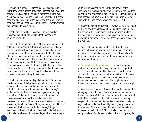This is a big change. Business leaders used to assume that if they were in charge, they were supposed to have all the answers, the boss did the thinking, the troops did the work. When it came to generating ideas, if you were the CEO, or the head of a business unit, or the leader of a team, you were, by definition "the smartest person in the room"—whatever room you happened to be sitting in.

 That's the old world of innovation. The new world of innovation is built on the principle that "nobody is as smart as everybody."

 Tim O'Reilly, founder of O'Reilly Media, the computer-book publisher, and a leading authority on open-source software, argues that innovation is no longer just about who has the most gifted scientists or the best-equipped labs. It's about who has the most compelling "architecture of participation." Which organizations make it fun, interesting, and rewarding for far-flung engineers and talented amateurs to contribute an idea or solve a problem? Ultimately, O'Reilly argues, the companies that are most likely to dominate their business are the ones most adept at harnessing the collective intelligence of everyone with whom they do business.

That's the mind-bending logic behind P&G's Connect  $+$ Develop initiative. A 170-year-old global giant has borrowed ideas from the nascent world of open-source software to rethink its whole approach to innovation. The company's leaders understand that not even an organization as big and rich as P&G can afford a do-it-yourself approach to innovation—not in a world where thousands, tens of thousands, hundreds of thousands of well-trained researchers are working in labs in Russia, China, and India, on all kinds of innovations that are relevant to the company's huge assortment of brands. That's why P&G looks outside the walls of its celebrated research labs, and beyond the breakthroughs

of its full-time scientists, to tap the brainpower of the whole world. Even though P&G employs many of the smartest scientists and engineers in their fields, its leaders understand that people don't have to work for the company in order to work with it—and not everybody can work for P&G.

Hence the aim of its Connect  $+$  Develop program: to import half of all new technologies and product ideas from outside the company. Not to outsource existing work from its labs, but to insource breakthroughs from anyone in the world and anywhere in the world—so long as those ideas are relevant to P&G's business.

 Your leadership mindset matters: Applying the new outside-in logic of innovation means abandoning familiar assumptions about where great ideas come from, who gets to be part of your organization, and how to inspire the best contributions from them.

**4. The people are the company.** It is the most ubiquitous platitude of corporate life: "People are our most important asset." The undeniable reality, of course, is that the human side of enterprise remains the ultimate backwater. Be honest: How many companies do you know that are as creative, as disciplined, as businesslike about the people factor in business as they are about finance, engineering, marketing?

 Over the years, as we've traveled the world to evaluate the changing state of business leadership, we've searched for those companies. We haven't found many. In fact, we haven't met all that many CEOs who could provide a compelling response to a simple question we like to ask when we visit an organization for the first time: Why would great people want to work here? (The answer, we add, can't be about salaries, bonuses, or stock options.) What is it about the ideas your company stands for, its point of view in the marketplace, the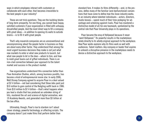ways in which employees interact with customers or collaborate with each other, that becomes irresistible to the best people in your industry?

 These are not trick questions. They are the building blocks of long-term prosperity. For one thing, you cannot have happy, satisfied customers if your organization is filled with unhappy, dissatisfied people. And the most direct way to fill a company with great ideas—in addition to opening its walls to outside brains—is to fill it with great people.

 That's why maverick companies are as unconventional and uncompromising about the people factor in business as they are about every other factor. They understand that among the most urgent business decisions they make is not just what new markets to enter or what new products to launch, but what new people to let in the door—whom to hire, and how to mold great teams out of gifted individuals. There is an iron-clad connection between your approach to the talent market and success in the product market.

 Few organizations understand this connection better than Pixar Animation Studios, which, among business pundits, has become a kind of entrepreneurial movie star. In early 2006, Walt Disney Company agreed to acquire Pixar in a deal valued at \$7.4 billion—not bad considering that Steve Jobs paid just \$10 million to gain control of the fledgling outfit back in 1986. From \$10 million to \$7.4 billion—that's what happens when you lead a studio that has produced an unbroken string of hits, mastered the art and science of digital animation, won 19 Academy Awards, and generated more than \$3 billion at the box office.

 Ultimately, though, Pixar's rise to stardom isn't about clever strategy, powerful technology, or affecting scripts. The company doesn't just make films that perform better than

standard fare. It makes its films differently—and, in the process, defies many of the familiar (and dysfunctional) conventions that have come to define how the move industry works. In an industry where talented individuals—actors, directors, studio bosses—spend much of their time jockeying for advantage and scheming against rivals, Pixar has mastered a distinctive model of all-for-one teamwork, symbolized by the central role that Pixar University plays in its operations.

 Pixar became the envy of Hollywood because it never "went Hollywood." Its powerful results in the marketplace relate directly to its wholly original approach to the workplace. How Pixar works explains why its films work so well with audiences. Talent matters: Any company or leader that aspires to unleash a disruptive presence in the marketplace needs to devise a distinctive approach to the workplace.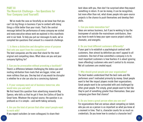### **PART III The Maverick Challenge—Ten Questions for Your Company (and Yourself)**

 We've made the case as forcefully as we know how that you can't do big things in business if you're content with doing things a little better than your rivals. That's the central message behind the performance of every company we visited and every executive whose work we explored in this manifesto and in our book. To help you put our messages to work, we've compiled ten questions that amount to a maverick challenge.

### **1. Is there a distinctive and disruptive sense of purpose that sets you apart from the competition?**

The best companies are the ones that stand for the most original and compelling ideas. What ideas are you and your company fighting for?

### **2. Can you be provocative without provoking a backlash?**

There's a difference between challenging the status quo and inviting retribution from rivals that are bigger, richer, and more ruthless than you. One key test of any would-be disruptor is whether he or she can also be a convincing diplomat.

### **3. If your company went out of business tomorrow, who would miss you and why?**

We first heard this question from advertising maverick Roy Spence, who tells us that he got it from Jim Collins of Good to Great fame. Whatever the original source, the question is as profound as it is simple—and worth taking seriously.

### **4. Are you the kind of person that other smart people want to work with?**

If you expect outsiders (or even colleagues) to share their

best ideas with you, then don't be surprised when they expect something in return. It can be money, it can be recognition, but more often than not, what draws people into open-source projects is the chance to push themselves and develop their skills.

### **5. Can you make innovation fun?**

Ideas are serious business, but if you're working to tap the brainpower of outside-the-mainstream contributors, then you have to work to keep your open-source project colorful, dramatic, and energetic.

### **6. Do you treat different customers differently?**

If your goal is to establish a psychological contract with customers, then almost by definition you won't appeal to all customers. One test of how committed a company is to its most important customers is how fearless it is about ignoring (even offending) customers who aren't central to its mission. Not all customers are created equal.

### **7. Why should great people join your organization?**

The best leaders understand that the best rank-and-file performers aren't motivated primarily by money. Great people want to feel like impact players inside their organizations. Great people want to be surrounded with and challenged by other great people. Put simply, great people want to feel like they're part of something greater than themselves. Does your company give them that chance?

### **8. Do you know a great person when you see one?**

For organizations that are serious about competing on talent, who you are as a person is as important as what you know at a moment in time. That is, character counts for as much as credentials. Do you know how to conduct a character test?